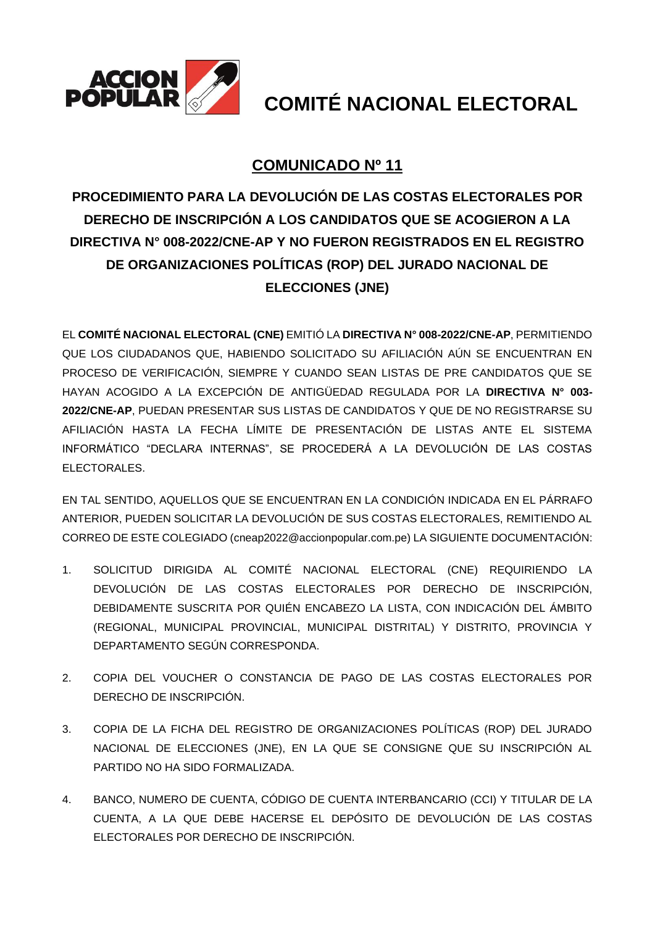

## **COMUNICADO Nº 11**

## **PROCEDIMIENTO PARA LA DEVOLUCIÓN DE LAS COSTAS ELECTORALES POR DERECHO DE INSCRIPCIÓN A LOS CANDIDATOS QUE SE ACOGIERON A LA DIRECTIVA N° 008-2022/CNE-AP Y NO FUERON REGISTRADOS EN EL REGISTRO DE ORGANIZACIONES POLÍTICAS (ROP) DEL JURADO NACIONAL DE ELECCIONES (JNE)**

EL **COMITÉ NACIONAL ELECTORAL (CNE)** EMITIÓ LA **DIRECTIVA N° 008-2022/CNE-AP**, PERMITIENDO QUE LOS CIUDADANOS QUE, HABIENDO SOLICITADO SU AFILIACIÓN AÚN SE ENCUENTRAN EN PROCESO DE VERIFICACIÓN, SIEMPRE Y CUANDO SEAN LISTAS DE PRE CANDIDATOS QUE SE HAYAN ACOGIDO A LA EXCEPCIÓN DE ANTIGÜEDAD REGULADA POR LA **DIRECTIVA N° 003- 2022/CNE-AP**, PUEDAN PRESENTAR SUS LISTAS DE CANDIDATOS Y QUE DE NO REGISTRARSE SU AFILIACIÓN HASTA LA FECHA LÍMITE DE PRESENTACIÓN DE LISTAS ANTE EL SISTEMA INFORMÁTICO "DECLARA INTERNAS", SE PROCEDERÁ A LA DEVOLUCIÓN DE LAS COSTAS ELECTORALES.

EN TAL SENTIDO, AQUELLOS QUE SE ENCUENTRAN EN LA CONDICIÓN INDICADA EN EL PÁRRAFO ANTERIOR, PUEDEN SOLICITAR LA DEVOLUCIÓN DE SUS COSTAS ELECTORALES, REMITIENDO AL CORREO DE ESTE COLEGIADO (cneap2022@accionpopular.com.pe) LA SIGUIENTE DOCUMENTACIÓN:

- 1. SOLICITUD DIRIGIDA AL COMITÉ NACIONAL ELECTORAL (CNE) REQUIRIENDO LA DEVOLUCIÓN DE LAS COSTAS ELECTORALES POR DERECHO DE INSCRIPCIÓN, DEBIDAMENTE SUSCRITA POR QUIÉN ENCABEZO LA LISTA, CON INDICACIÓN DEL ÁMBITO (REGIONAL, MUNICIPAL PROVINCIAL, MUNICIPAL DISTRITAL) Y DISTRITO, PROVINCIA Y DEPARTAMENTO SEGÚN CORRESPONDA.
- 2. COPIA DEL VOUCHER O CONSTANCIA DE PAGO DE LAS COSTAS ELECTORALES POR DERECHO DE INSCRIPCIÓN.
- 3. COPIA DE LA FICHA DEL REGISTRO DE ORGANIZACIONES POLÍTICAS (ROP) DEL JURADO NACIONAL DE ELECCIONES (JNE), EN LA QUE SE CONSIGNE QUE SU INSCRIPCIÓN AL PARTIDO NO HA SIDO FORMALIZADA.
- 4. BANCO, NUMERO DE CUENTA, CÓDIGO DE CUENTA INTERBANCARIO (CCI) Y TITULAR DE LA CUENTA, A LA QUE DEBE HACERSE EL DEPÓSITO DE DEVOLUCIÓN DE LAS COSTAS ELECTORALES POR DERECHO DE INSCRIPCIÓN.